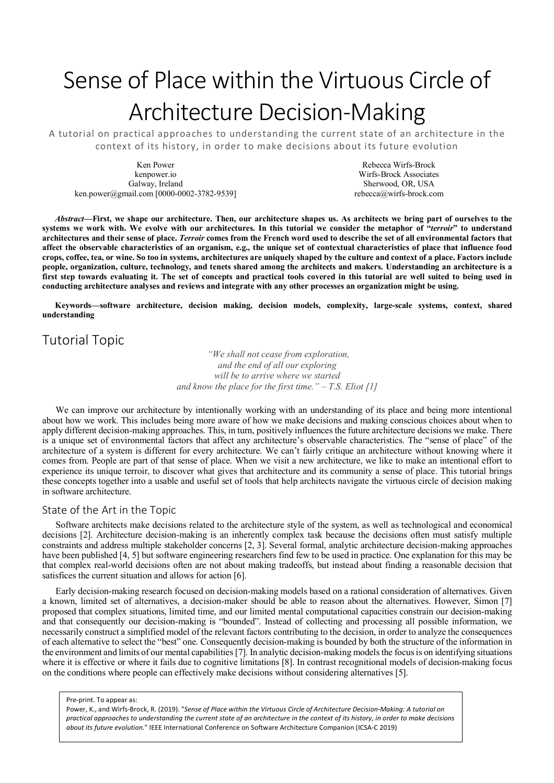# Sense of Place within the Virtuous Circle of Architecture Decision-Making

A tutorial on practical approaches to understanding the current state of an architecture in the context of its history, in order to make decisions about its future evolution

Ken Power kenpower.io Galway, Ireland ken.power@gmail.com [0000-0002-3782-9539]

Rebecca Wirfs-Brock Wirfs-Brock Associates Sherwood, OR, USA rebecca@wirfs-brock.com

*Abstract***—First, we shape our architecture. Then, our architecture shapes us. As architects we bring part of ourselves to the systems we work with. We evolve with our architectures. In this tutorial we consider the metaphor of "***terroir***" to understand architectures and their sense of place.** *Terroir* **comes from the French word used to describe the set of all environmental factors that affect the observable characteristics of an organism, e.g., the unique set of contextual characteristics of place that influence food crops, coffee, tea, or wine. So too in systems, architectures are uniquely shaped by the culture and context of a place. Factors include people, organization, culture, technology, and tenets shared among the architects and makers. Understanding an architecture is a first step towards evaluating it. The set of concepts and practical tools covered in this tutorial are well suited to being used in conducting architecture analyses and reviews and integrate with any other processes an organization might be using.**

**Keywords—software architecture, decision making, decision models, complexity, large-scale systems, context, shared understanding**

## Tutorial Topic

*"We shall not cease from exploration, and the end of all our exploring will be to arrive where we started and know the place for the first time." – T.S. Eliot [1]*

We can improve our architecture by intentionally working with an understanding of its place and being more intentional about how we work. This includes being more aware of how we make decisions and making conscious choices about when to apply different decision-making approaches. This, in turn, positively influences the future architecture decisions we make. There is a unique set of environmental factors that affect any architecture's observable characteristics. The "sense of place" of the architecture of a system is different for every architecture. We can't fairly critique an architecture without knowing where it comes from. People are part of that sense of place. When we visit a new architecture, we like to make an intentional effort to experience its unique terroir, to discover what gives that architecture and its community a sense of place. This tutorial brings these concepts together into a usable and useful set of tools that help architects navigate the virtuous circle of decision making in software architecture.

#### State of the Art in the Topic

Software architects make decisions related to the architecture style of the system, as well as technological and economical decisions [2]. Architecture decision-making is an inherently complex task because the decisions often must satisfy multiple constraints and address multiple stakeholder concerns [2, 3]. Several formal, analytic architecture decision-making approaches have been published [4, 5] but software engineering researchers find few to be used in practice. One explanation for this may be that complex real-world decisions often are not about making tradeoffs, but instead about finding a reasonable decision that satisfices the current situation and allows for action [6].

Early decision-making research focused on decision-making models based on a rational consideration of alternatives. Given a known, limited set of alternatives, a decision-maker should be able to reason about the alternatives. However, Simon [7] proposed that complex situations, limited time, and our limited mental computational capacities constrain our decision-making and that consequently our decision-making is "bounded". Instead of collecting and processing all possible information, we necessarily construct a simplified model of the relevant factors contributing to the decision, in order to analyze the consequences of each alternative to select the "best" one. Consequently decision-making is bounded by both the structure of the information in the environment and limits of our mental capabilities [7]. In analytic decision-making models the focus is on identifying situations where it is effective or where it fails due to cognitive limitations [8]. In contrast recognitional models of decision-making focus on the conditions where people can effectively make decisions without considering alternatives [5].

#### Pre-print. To appear as:

Power, K., and Wirfs-Brock, R. (2019). "*Sense of Place within the Virtuous Circle of Architecture Decision-Making: A tutorial on practical approaches to understanding the current state of an architecture in the context of its history, in order to make decisions about its future evolution.*" IEEE International Conference on Software Architecture Companion (ICSA-C 2019)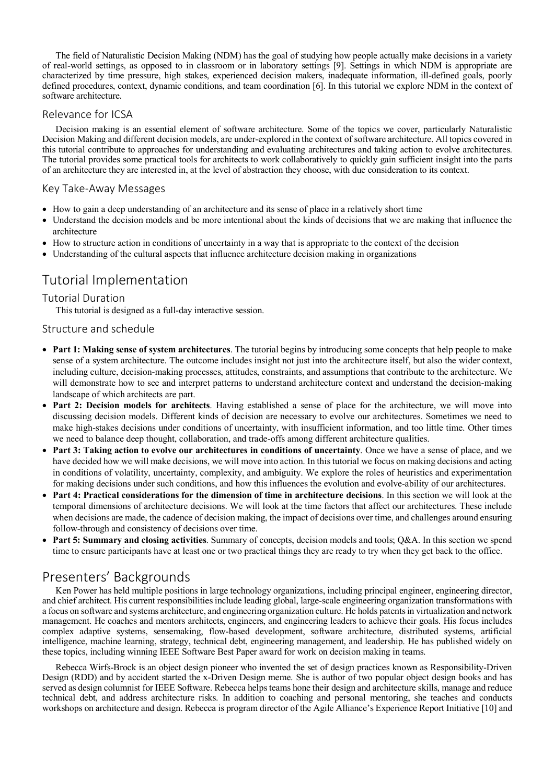The field of Naturalistic Decision Making (NDM) has the goal of studying how people actually make decisions in a variety of real-world settings, as opposed to in classroom or in laboratory settings [9]. Settings in which NDM is appropriate are characterized by time pressure, high stakes, experienced decision makers, inadequate information, ill-defined goals, poorly defined procedures, context, dynamic conditions, and team coordination [6]. In this tutorial we explore NDM in the context of software architecture.

#### Relevance for ICSA

Decision making is an essential element of software architecture. Some of the topics we cover, particularly Naturalistic Decision Making and different decision models, are under-explored in the context of software architecture. All topics covered in this tutorial contribute to approaches for understanding and evaluating architectures and taking action to evolve architectures. The tutorial provides some practical tools for architects to work collaboratively to quickly gain sufficient insight into the parts of an architecture they are interested in, at the level of abstraction they choose, with due consideration to its context.

## Key Take-Away Messages

- How to gain a deep understanding of an architecture and its sense of place in a relatively short time
- Understand the decision models and be more intentional about the kinds of decisions that we are making that influence the architecture
- How to structure action in conditions of uncertainty in a way that is appropriate to the context of the decision
- Understanding of the cultural aspects that influence architecture decision making in organizations

## Tutorial Implementation

## Tutorial Duration

This tutorial is designed as a full-day interactive session.

## Structure and schedule

- **Part 1: Making sense of system architectures**. The tutorial begins by introducing some concepts that help people to make sense of a system architecture. The outcome includes insight not just into the architecture itself, but also the wider context, including culture, decision-making processes, attitudes, constraints, and assumptions that contribute to the architecture. We will demonstrate how to see and interpret patterns to understand architecture context and understand the decision-making landscape of which architects are part.
- **Part 2: Decision models for architects**. Having established a sense of place for the architecture, we will move into discussing decision models. Different kinds of decision are necessary to evolve our architectures. Sometimes we need to make high-stakes decisions under conditions of uncertainty, with insufficient information, and too little time. Other times we need to balance deep thought, collaboration, and trade-offs among different architecture qualities.
- **Part 3: Taking action to evolve our architectures in conditions of uncertainty**. Once we have a sense of place, and we have decided how we will make decisions, we will move into action. In this tutorial we focus on making decisions and acting in conditions of volatility, uncertainty, complexity, and ambiguity. We explore the roles of heuristics and experimentation for making decisions under such conditions, and how this influences the evolution and evolve-ability of our architectures.
- **Part 4: Practical considerations for the dimension of time in architecture decisions**. In this section we will look at the temporal dimensions of architecture decisions. We will look at the time factors that affect our architectures. These include when decisions are made, the cadence of decision making, the impact of decisions over time, and challenges around ensuring follow-through and consistency of decisions over time.
- **Part 5: Summary and closing activities**. Summary of concepts, decision models and tools; Q&A. In this section we spend time to ensure participants have at least one or two practical things they are ready to try when they get back to the office.

## Presenters' Backgrounds

Ken Power has held multiple positions in large technology organizations, including principal engineer, engineering director, and chief architect. His current responsibilities include leading global, large-scale engineering organization transformations with a focus on software and systems architecture, and engineering organization culture. He holds patents in virtualization and network management. He coaches and mentors architects, engineers, and engineering leaders to achieve their goals. His focus includes complex adaptive systems, sensemaking, flow-based development, software architecture, distributed systems, artificial intelligence, machine learning, strategy, technical debt, engineering management, and leadership. He has published widely on these topics, including winning IEEE Software Best Paper award for work on decision making in teams.

Rebecca Wirfs-Brock is an object design pioneer who invented the set of design practices known as Responsibility-Driven Design (RDD) and by accident started the x-Driven Design meme. She is author of two popular object design books and has served as design columnist for IEEE Software. Rebecca helps teams hone their design and architecture skills, manage and reduce technical debt, and address architecture risks. In addition to coaching and personal mentoring, she teaches and conducts workshops on architecture and design. Rebecca is program director of the Agile Alliance's Experience Report Initiative [10] and